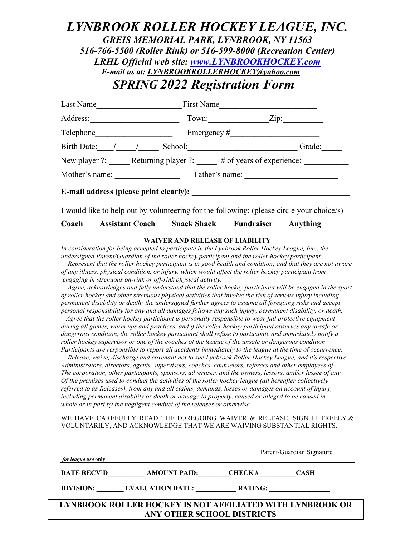## *LYNBROOK ROLLER HOCKEY LEAGUE, INC. GREIS MEMORIAL PARK, LYNBROOK, NY 11563 516-766-5500 (Roller Rink) or 516-599-8000 (Recreation Center) LRHL Official web site: [www.LYNBROOKHOCKEY.com](http://www.lynbrookhockey.com/) E-mail us at: [LYNBROOKROLLERHOCKEY@yahoo.com](mailto:LYNBROOKROLLERHOCKEY@yahoo.com)  SPRING 2022 Registration Form*

| First Name                                                  |
|-------------------------------------------------------------|
| Town:<br>Zip:                                               |
|                                                             |
| Grade:<br>School:                                           |
| New player ?: Returning player ?: # of years of experience: |
| Mother's name:<br>Father's name:                            |
| E-mail address (please print clearly):                      |
|                                                             |

I would like to help out by volunteering for the following: (please circle your choice/s)

**Coach Assistant Coach Snack Shack Fundraiser Anything** 

## **WAIVER AND RELEASE OF LIABILITY**

In consideration for being accepted to participate in the Lynbrook Roller Hockey League, Inc., the *undersigned Parent/Guardian of the roller hockey participant and the roller hockey participant:*

 *Represent that the roller hockey participant is in good health and condition; and that they are not aware of any illness, physical condition, or injury, which would affect the roller hockey participant from engaging in strenuous on-rink or off-rink physical activity.*

 *Agree, acknowledges and fully understand that the roller hockey participant will be engaged in the sport of roller hockey and other strenuous physical activities that involve the risk of serious injury including permanent disability or death; the undersigned further agrees to assume all foregoing risks and accept personal responsibility for any and all damages follows any such injury, permanent disability, or death.*

 *Agree that the roller hockey participant is personally responsible to wear full protective equipment during all games, warm ups and practices, and if the roller hockey participant observes any unsafe or dangerous condition, the roller hockey participant shall refuse to participate and immediately notify a roller hockey supervisor or one of the coaches of the league of the unsafe or dangerous condition Participants are responsible to report all accidents immediately to the league at the time of occurrence.*

 *Release, waive, discharge and covenant not to sue Lynbrook Roller Hockey League, and it's respective Administrators, directors, agents, supervisors, coaches, counselors, referees and other employees of The corporation, other participants, sponsors, advertiser, and the owners, lessors, and/or lessee of any Of the premises used to conduct the activities of the roller hockey league (all hereafter collectively referred to as Releases), from any and all claims, demands, losses or damages on account of injury, including permanent disability or death or damage to property, caused or alleged to be caused in whole or in part by the negligent conduct of the releases or otherwise.*

## WE HAVE CAREFULLY READ THE FOREGOING WAIVER & RELEASE, SIGN IT FREELY, & VOLUNTARILY, AND ACKNOWLEDGE THAT WE ARE WAIVING SUBSTANTIAL RIGHTS.

| <i>for league use</i> only                                                              |                            |                 | Parent/Guardian Signature |  |
|-----------------------------------------------------------------------------------------|----------------------------|-----------------|---------------------------|--|
|                                                                                         | DATE RECV'D AMOUNT PAID:   | $CHECK \#$ CASH |                           |  |
|                                                                                         | DIVISION: EVALUATION DATE: | <b>RATING:</b>  |                           |  |
| LYNBROOK ROLLER HOCKEY IS NOT AFFILIATED WITH LYNBROOK OR<br>ANY OTHER SCHOOL DISTRICTS |                            |                 |                           |  |